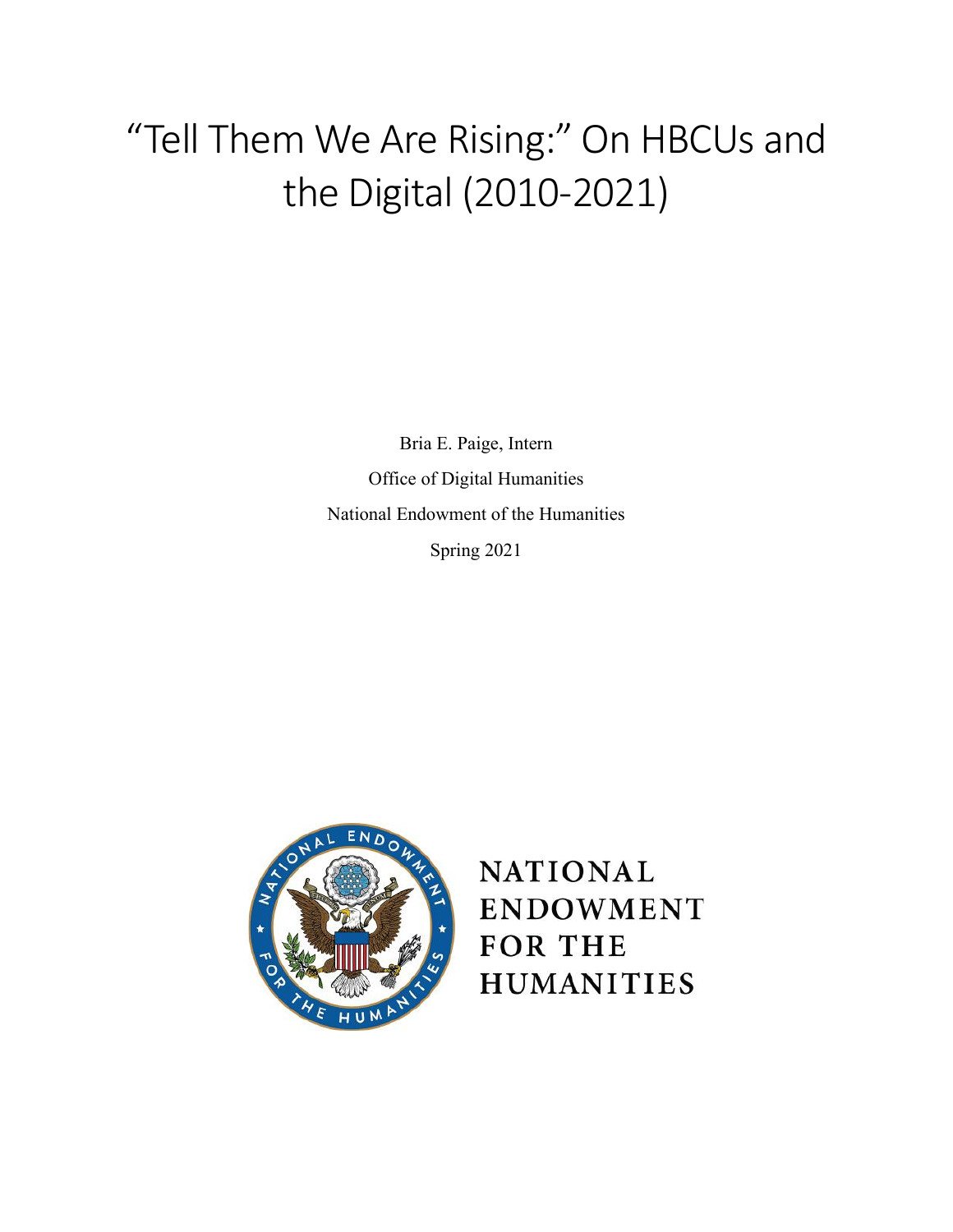# "Tell Them We Are Rising:" On HBCUs and the Digital (2010-2021)

Bria E. Paige, Intern Office of Digital Humanities National Endowment of the Humanities Spring 2021



## **NATIONAL ENDOWMENT FOR THE HUMANITIES**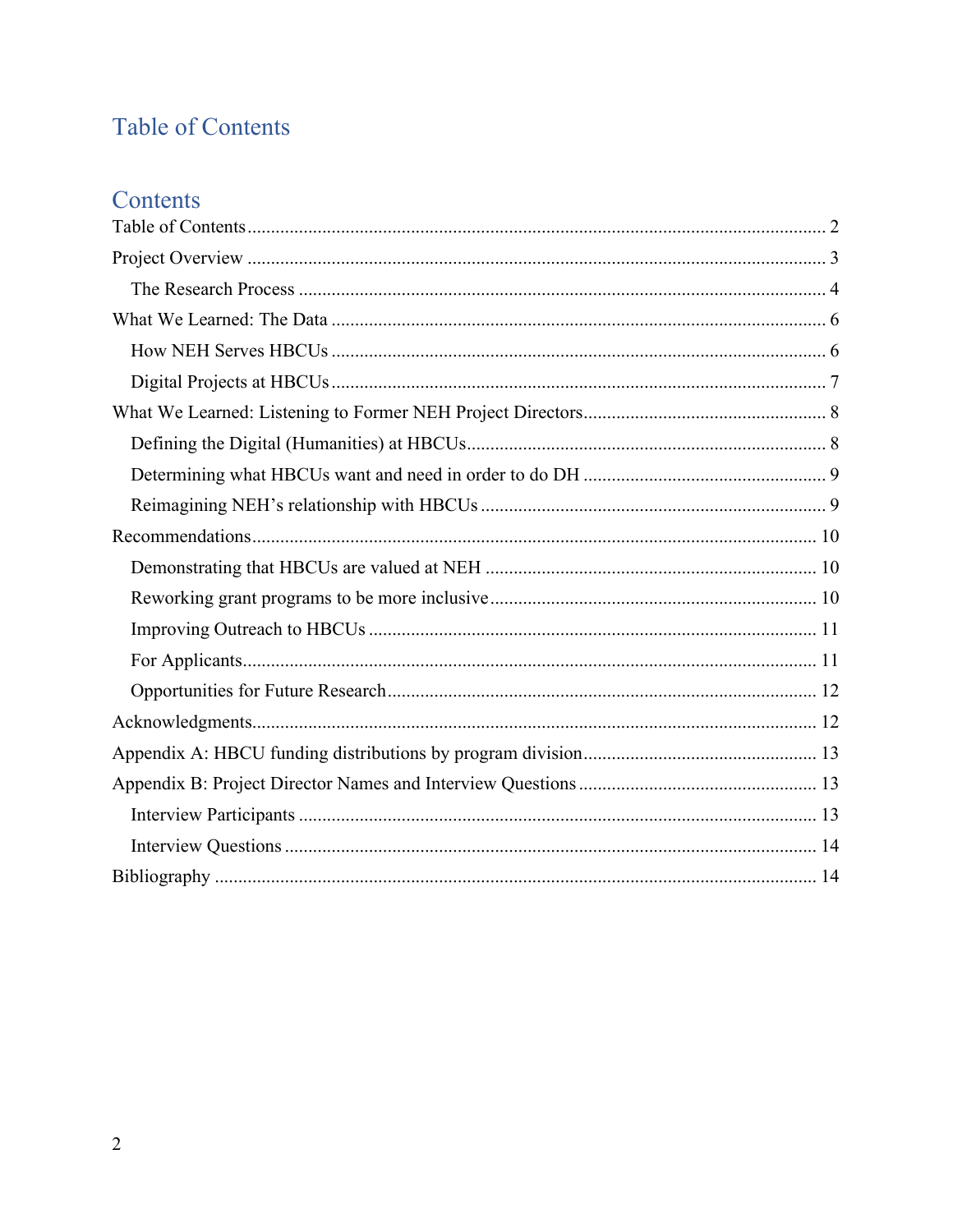## <span id="page-1-0"></span>Table of Contents

## Contents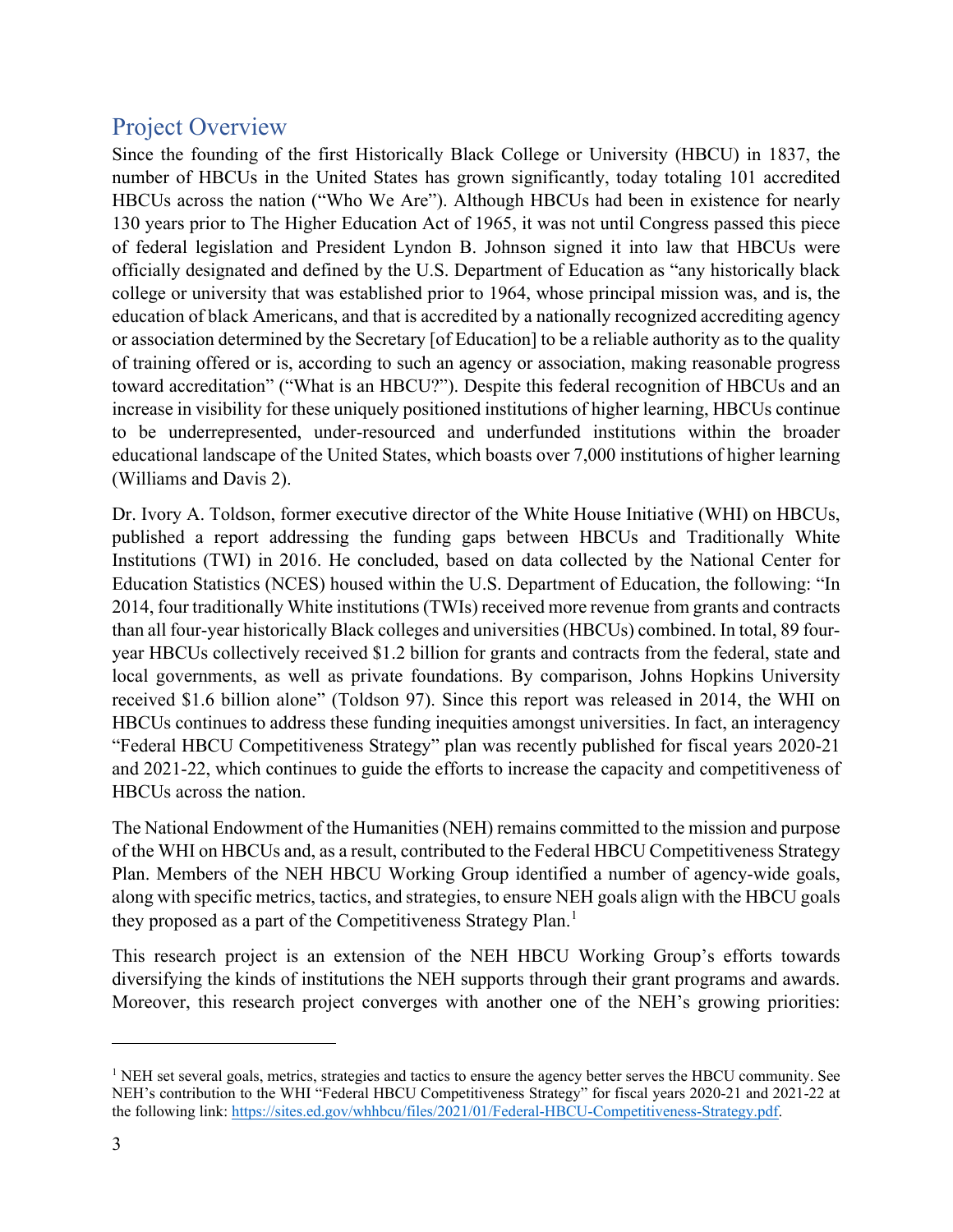## <span id="page-2-0"></span>Project Overview

Since the founding of the first Historically Black College or University (HBCU) in 1837, the number of HBCUs in the United States has grown significantly, today totaling 101 accredited HBCUs across the nation ("Who We Are"). Although HBCUs had been in existence for nearly 130 years prior to The Higher Education Act of 1965, it was not until Congress passed this piece of federal legislation and President Lyndon B. Johnson signed it into law that HBCUs were officially designated and defined by the U.S. Department of Education as "any historically black college or university that was established prior to 1964, whose principal mission was, and is, the education of black Americans, and that is accredited by a nationally recognized accrediting agency or association determined by the Secretary [of Education] to be a reliable authority as to the quality of training offered or is, according to such an agency or association, making reasonable progress toward accreditation" ("What is an HBCU?"). Despite this federal recognition of HBCUs and an increase in visibility for these uniquely positioned institutions of higher learning, HBCUs continue to be underrepresented, under-resourced and underfunded institutions within the broader educational landscape of the United States, which boasts over 7,000 institutions of higher learning (Williams and Davis 2).

Dr. Ivory A. Toldson, former executive director of the White House Initiative (WHI) on HBCUs, published a report addressing the funding gaps between HBCUs and Traditionally White Institutions (TWI) in 2016. He concluded, based on data collected by the National Center for Education Statistics (NCES) housed within the U.S. Department of Education, the following: "In 2014, four traditionally White institutions (TWIs) received more revenue from grants and contracts than all four-year historically Black colleges and universities (HBCUs) combined. In total, 89 fouryear HBCUs collectively received \$1.2 billion for grants and contracts from the federal, state and local governments, as well as private foundations. By comparison, Johns Hopkins University received \$1.6 billion alone" (Toldson 97). Since this report was released in 2014, the WHI on HBCUs continues to address these funding inequities amongst universities. In fact, an interagency "Federal HBCU Competitiveness Strategy" plan was recently published for fiscal years 2020-21 and 2021-22, which continues to guide the efforts to increase the capacity and competitiveness of HBCUs across the nation.

The National Endowment of the Humanities (NEH) remains committed to the mission and purpose of the WHI on HBCUs and, as a result, contributed to the Federal HBCU Competitiveness Strategy Plan. Members of the NEH HBCU Working Group identified a number of agency-wide goals, along with specific metrics, tactics, and strategies, to ensure NEH goals align with the HBCU goals they proposed as a part of the Competitiveness Strategy Plan.<sup>[1](#page-2-1)</sup>

This research project is an extension of the NEH HBCU Working Group's efforts towards diversifying the kinds of institutions the NEH supports through their grant programs and awards. Moreover, this research project converges with another one of the NEH's growing priorities:

<span id="page-2-1"></span> $1$  NEH set several goals, metrics, strategies and tactics to ensure the agency better serves the HBCU community. See NEH's contribution to the WHI "Federal HBCU Competitiveness Strategy" for fiscal years 2020-21 and 2021-22 at the following link: [https://sites.ed.gov/whhbcu/files/2021/01/Federal-HBCU-Competitiveness-Strategy.pdf.](https://sites.ed.gov/whhbcu/files/2021/01/Federal-HBCU-Competitiveness-Strategy.pdf)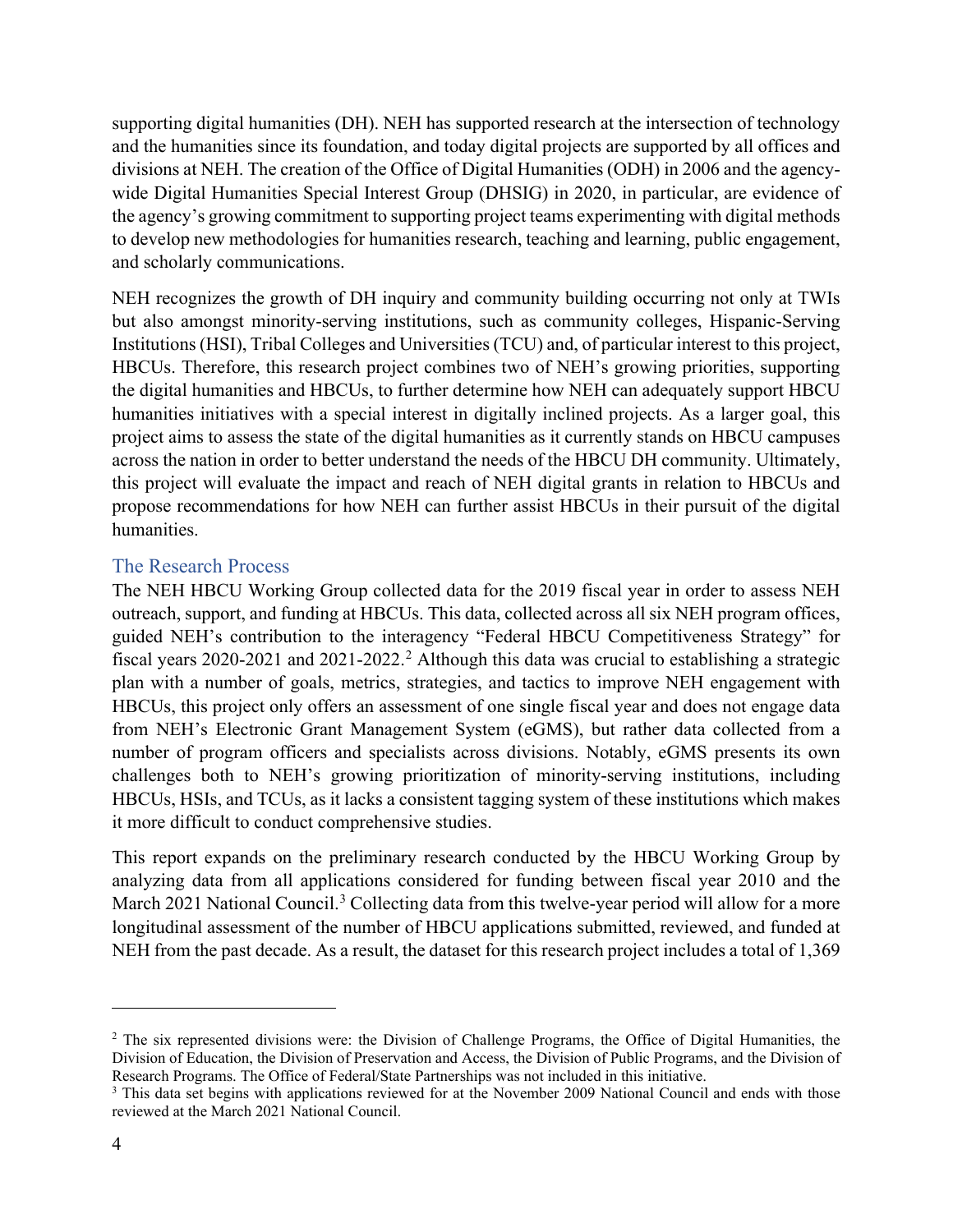supporting digital humanities (DH). NEH has supported research at the intersection of technology and the humanities since its foundation, and today digital projects are supported by all offices and divisions at NEH. The creation of the Office of Digital Humanities (ODH) in 2006 and the agencywide Digital Humanities Special Interest Group (DHSIG) in 2020, in particular, are evidence of the agency's growing commitment to supporting project teams experimenting with digital methods to develop new methodologies for humanities research, teaching and learning, public engagement, and scholarly communications.

NEH recognizes the growth of DH inquiry and community building occurring not only at TWIs but also amongst minority-serving institutions, such as community colleges, Hispanic-Serving Institutions (HSI), Tribal Colleges and Universities (TCU) and, of particular interest to this project, HBCUs. Therefore, this research project combines two of NEH's growing priorities, supporting the digital humanities and HBCUs, to further determine how NEH can adequately support HBCU humanities initiatives with a special interest in digitally inclined projects. As a larger goal, this project aims to assess the state of the digital humanities as it currently stands on HBCU campuses across the nation in order to better understand the needs of the HBCU DH community. Ultimately, this project will evaluate the impact and reach of NEH digital grants in relation to HBCUs and propose recommendations for how NEH can further assist HBCUs in their pursuit of the digital humanities.

#### <span id="page-3-0"></span>The Research Process

The NEH HBCU Working Group collected data for the 2019 fiscal year in order to assess NEH outreach, support, and funding at HBCUs. This data, collected across all six NEH program offices, guided NEH's contribution to the interagency "Federal HBCU Competitiveness Strategy" for fiscal years  $2020-2021$  $2020-2021$  and  $2021-2022$ <sup>2</sup> Although this data was crucial to establishing a strategic plan with a number of goals, metrics, strategies, and tactics to improve NEH engagement with HBCUs, this project only offers an assessment of one single fiscal year and does not engage data from NEH's Electronic Grant Management System (eGMS), but rather data collected from a number of program officers and specialists across divisions. Notably, eGMS presents its own challenges both to NEH's growing prioritization of minority-serving institutions, including HBCUs, HSIs, and TCUs, as it lacks a consistent tagging system of these institutions which makes it more difficult to conduct comprehensive studies.

This report expands on the preliminary research conducted by the HBCU Working Group by analyzing data from all applications considered for funding between fiscal year 2010 and the March 2021 National Council.<sup>[3](#page-3-2)</sup> Collecting data from this twelve-year period will allow for a more longitudinal assessment of the number of HBCU applications submitted, reviewed, and funded at NEH from the past decade. As a result, the dataset for this research project includes a total of 1,369

<span id="page-3-1"></span><sup>&</sup>lt;sup>2</sup> The six represented divisions were: the Division of Challenge Programs, the Office of Digital Humanities, the Division of Education, the Division of Preservation and Access, the Division of Public Programs, and the Division of Research Programs. The Office of Federal/State Partnerships was not included in this initiative.

<span id="page-3-2"></span><sup>&</sup>lt;sup>3</sup> This data set begins with applications reviewed for at the November 2009 National Council and ends with those reviewed at the March 2021 National Council.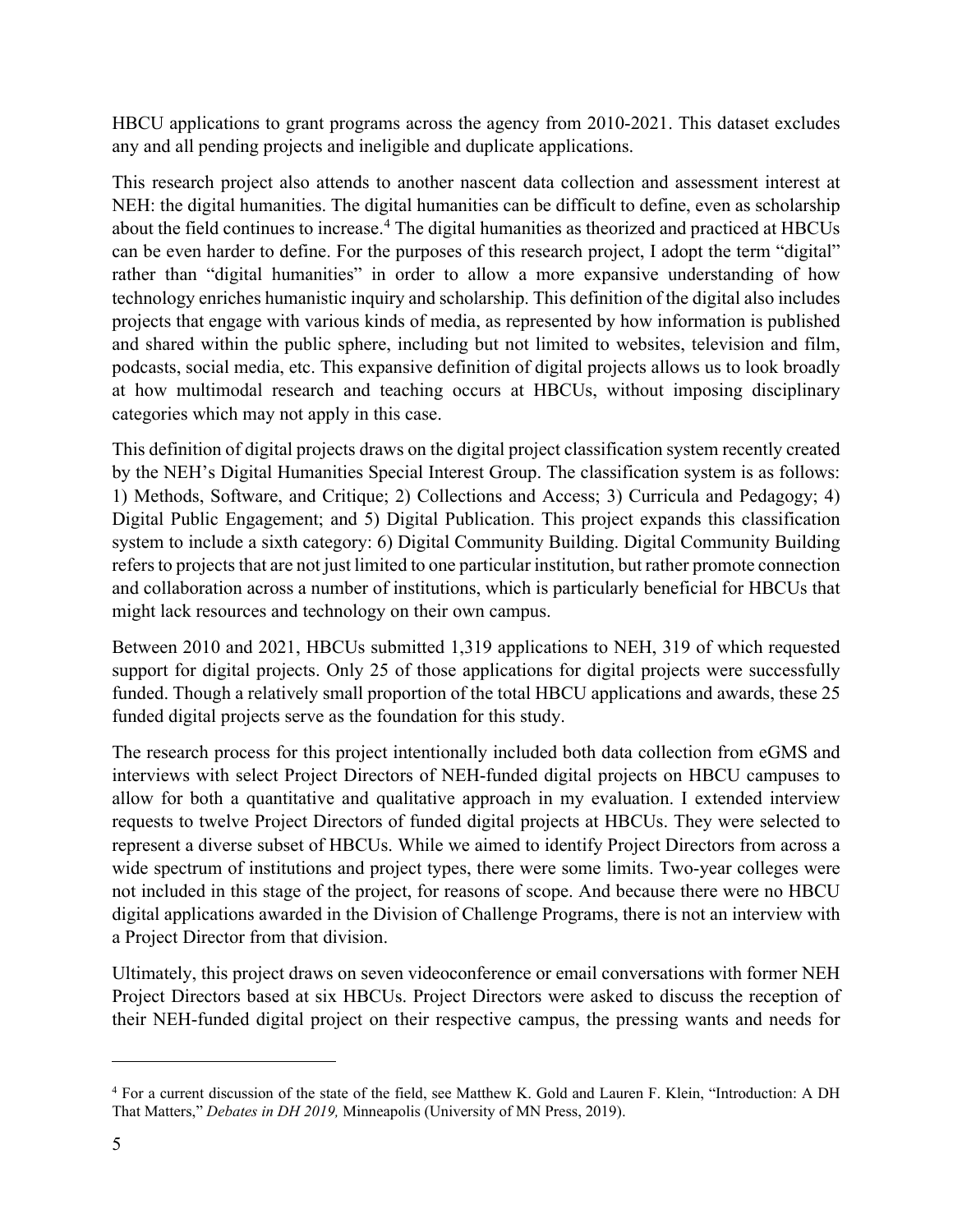HBCU applications to grant programs across the agency from 2010-2021. This dataset excludes any and all pending projects and ineligible and duplicate applications.

This research project also attends to another nascent data collection and assessment interest at NEH: the digital humanities. The digital humanities can be difficult to define, even as scholarship about the field continues to increase.<sup>[4](#page-4-0)</sup> The digital humanities as theorized and practiced at HBCUs can be even harder to define. For the purposes of this research project, I adopt the term "digital" rather than "digital humanities" in order to allow a more expansive understanding of how technology enriches humanistic inquiry and scholarship. This definition of the digital also includes projects that engage with various kinds of media, as represented by how information is published and shared within the public sphere, including but not limited to websites, television and film, podcasts, social media, etc. This expansive definition of digital projects allows us to look broadly at how multimodal research and teaching occurs at HBCUs, without imposing disciplinary categories which may not apply in this case.

This definition of digital projects draws on the digital project classification system recently created by the NEH's Digital Humanities Special Interest Group. The classification system is as follows: 1) Methods, Software, and Critique; 2) Collections and Access; 3) Curricula and Pedagogy; 4) Digital Public Engagement; and 5) Digital Publication. This project expands this classification system to include a sixth category: 6) Digital Community Building. Digital Community Building refers to projects that are not just limited to one particular institution, but rather promote connection and collaboration across a number of institutions, which is particularly beneficial for HBCUs that might lack resources and technology on their own campus.

Between 2010 and 2021, HBCUs submitted 1,319 applications to NEH, 319 of which requested support for digital projects. Only 25 of those applications for digital projects were successfully funded. Though a relatively small proportion of the total HBCU applications and awards, these 25 funded digital projects serve as the foundation for this study.

The research process for this project intentionally included both data collection from eGMS and interviews with select Project Directors of NEH-funded digital projects on HBCU campuses to allow for both a quantitative and qualitative approach in my evaluation. I extended interview requests to twelve Project Directors of funded digital projects at HBCUs. They were selected to represent a diverse subset of HBCUs. While we aimed to identify Project Directors from across a wide spectrum of institutions and project types, there were some limits. Two-year colleges were not included in this stage of the project, for reasons of scope. And because there were no HBCU digital applications awarded in the Division of Challenge Programs, there is not an interview with a Project Director from that division.

Ultimately, this project draws on seven videoconference or email conversations with former NEH Project Directors based at six HBCUs. Project Directors were asked to discuss the reception of their NEH-funded digital project on their respective campus, the pressing wants and needs for

<span id="page-4-0"></span><sup>&</sup>lt;sup>4</sup> For a current discussion of the state of the field, see Matthew K. Gold and Lauren F. Klein, "Introduction: A DH That Matters," *Debates in DH 2019,* Minneapolis (University of MN Press, 2019).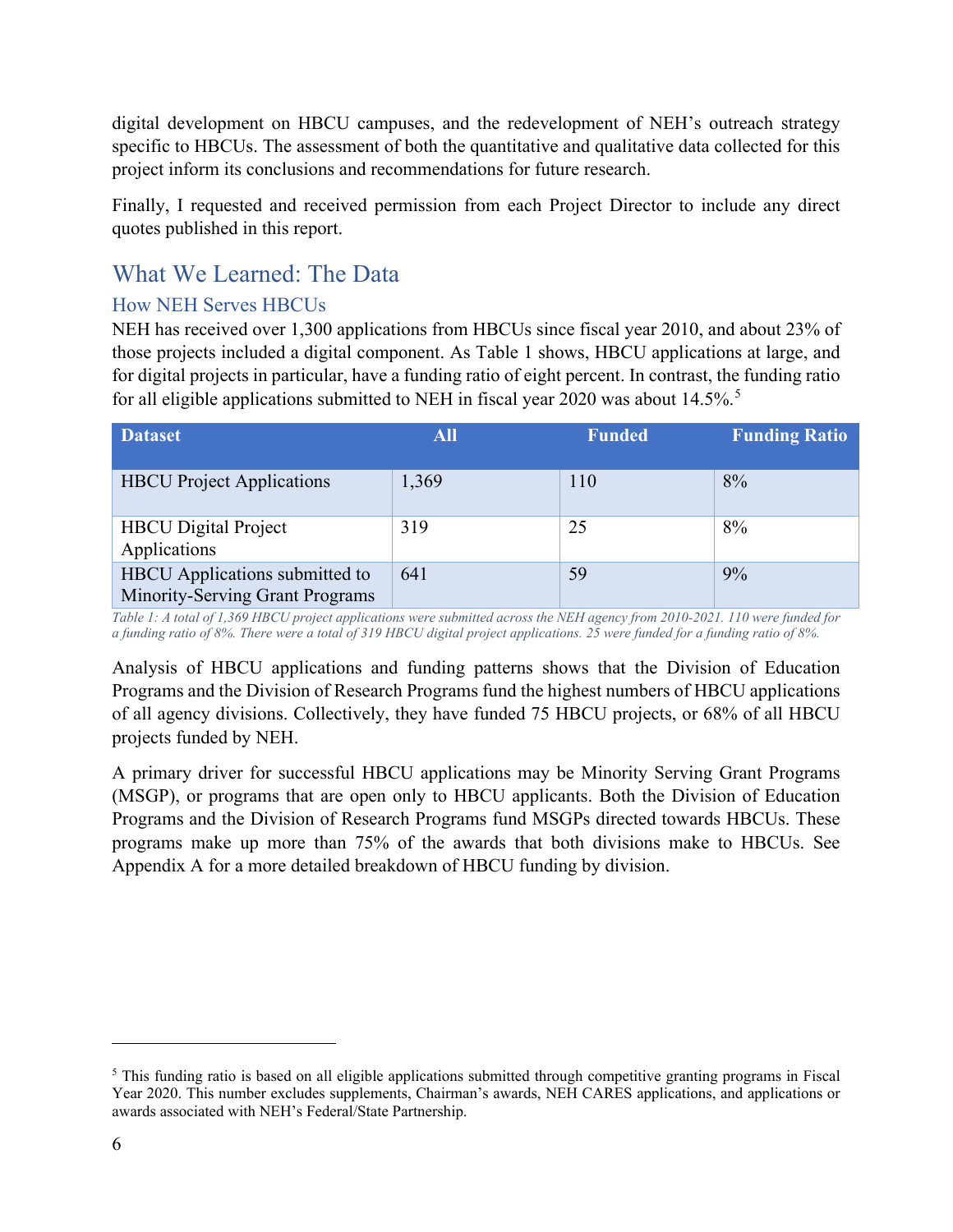digital development on HBCU campuses, and the redevelopment of NEH's outreach strategy specific to HBCUs. The assessment of both the quantitative and qualitative data collected for this project inform its conclusions and recommendations for future research.

Finally, I requested and received permission from each Project Director to include any direct quotes published in this report.

## <span id="page-5-0"></span>What We Learned: The Data

#### <span id="page-5-1"></span>How NEH Serves HBCUs

NEH has received over 1,300 applications from HBCUs since fiscal year 2010, and about 23% of those projects included a digital component. As Table 1 shows, HBCU applications at large, and for digital projects in particular, have a funding ratio of eight percent. In contrast, the funding ratio for all eligible applications submitted to NEH in fiscal year 2020 was about 14.[5](#page-5-2)%.<sup>5</sup>

| <b>Dataset</b>                                                    | <b>All</b> | <b>Funded</b> | <b>Funding Ratio</b> |
|-------------------------------------------------------------------|------------|---------------|----------------------|
| <b>HBCU</b> Project Applications                                  | 1,369      | 110           | 8%                   |
| <b>HBCU</b> Digital Project<br>Applications                       | 319        | 25            | 8%                   |
| HBCU Applications submitted to<br>Minority-Serving Grant Programs | 641        | 59            | 9%                   |

*Table 1: A total of 1,369 HBCU project applications were submitted across the NEH agency from 2010-2021. 110 were funded for a funding ratio of 8%. There were a total of 319 HBCU digital project applications. 25 were funded for a funding ratio of 8%.*

Analysis of HBCU applications and funding patterns shows that the Division of Education Programs and the Division of Research Programs fund the highest numbers of HBCU applications of all agency divisions. Collectively, they have funded 75 HBCU projects, or 68% of all HBCU projects funded by NEH.

A primary driver for successful HBCU applications may be Minority Serving Grant Programs (MSGP), or programs that are open only to HBCU applicants. Both the Division of Education Programs and the Division of Research Programs fund MSGPs directed towards HBCUs. These programs make up more than 75% of the awards that both divisions make to HBCUs. See Appendix A for a more detailed breakdown of HBCU funding by division.

<span id="page-5-2"></span> $<sup>5</sup>$  This funding ratio is based on all eligible applications submitted through competitive granting programs in Fiscal</sup> Year 2020. This number excludes supplements, Chairman's awards, NEH CARES applications, and applications or awards associated with NEH's Federal/State Partnership.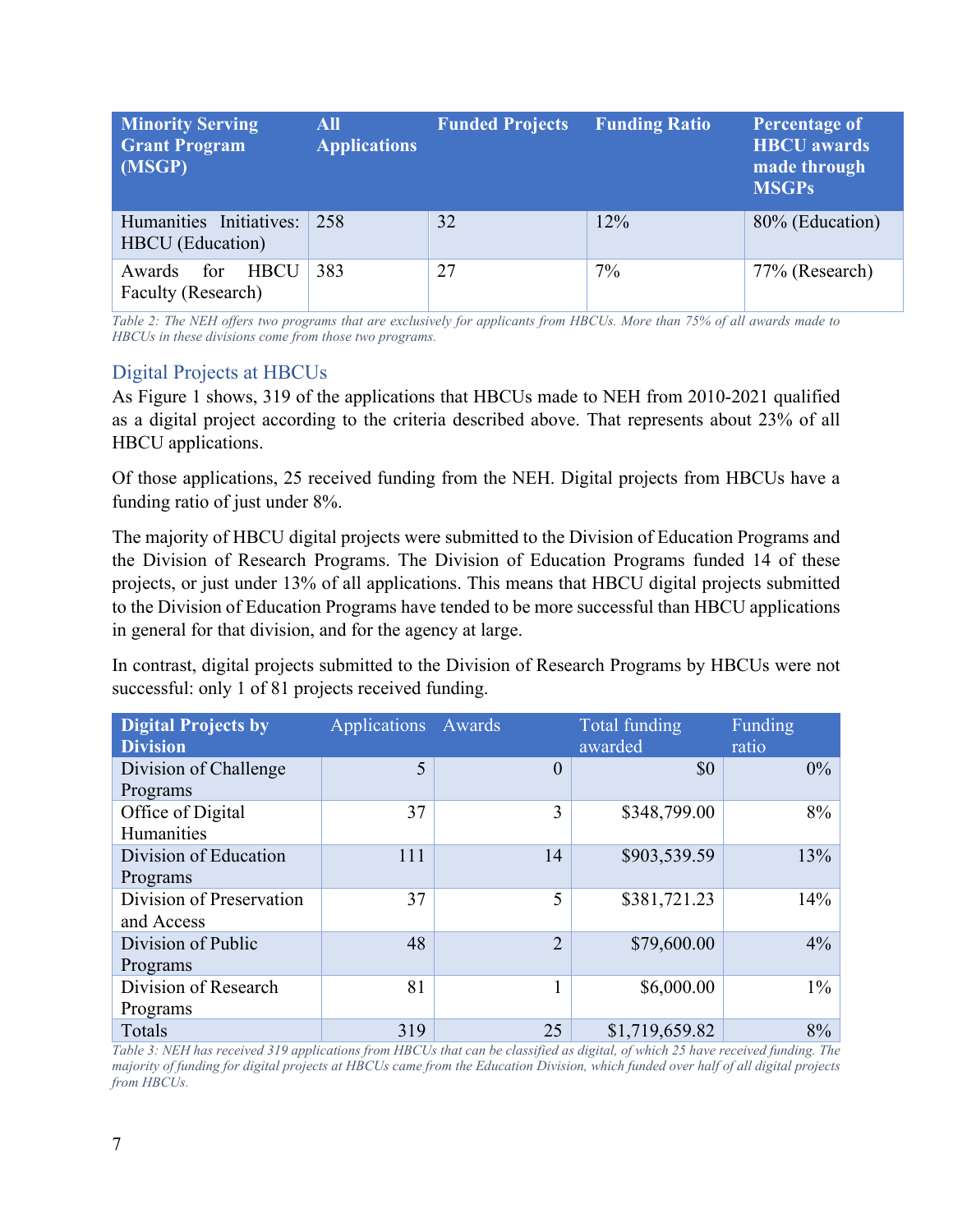| <b>Minority Serving</b><br><b>Grant Program</b><br>(MSGP) | <b>All</b><br><b>Applications</b> | <b>Funded Projects</b> | <b>Funding Ratio</b> | <b>Percentage of</b><br><b>HBCU</b> awards<br>made through<br><b>MSGPs</b> |
|-----------------------------------------------------------|-----------------------------------|------------------------|----------------------|----------------------------------------------------------------------------|
| Humanities Initiatives:<br><b>HBCU</b> (Education)        | 258                               | 32                     | 12%                  | 80% (Education)                                                            |
| <b>HBCU</b><br>for<br>Awards<br>Faculty (Research)        | 383                               | 27                     | 7%                   | 77% (Research)                                                             |

*Table 2: The NEH offers two programs that are exclusively for applicants from HBCUs. More than 75% of all awards made to HBCUs in these divisions come from those two programs.*

#### <span id="page-6-0"></span>Digital Projects at HBCUs

As Figure 1 shows, 319 of the applications that HBCUs made to NEH from 2010-2021 qualified as a digital project according to the criteria described above. That represents about 23% of all HBCU applications.

Of those applications, 25 received funding from the NEH. Digital projects from HBCUs have a funding ratio of just under 8%.

The majority of HBCU digital projects were submitted to the Division of Education Programs and the Division of Research Programs. The Division of Education Programs funded 14 of these projects, or just under 13% of all applications. This means that HBCU digital projects submitted to the Division of Education Programs have tended to be more successful than HBCU applications in general for that division, and for the agency at large.

In contrast, digital projects submitted to the Division of Research Programs by HBCUs were not successful: only 1 of 81 projects received funding.

| <b>Digital Projects by</b> | <b>Applications</b> | Awards         | Total funding  | Funding |
|----------------------------|---------------------|----------------|----------------|---------|
| <b>Division</b>            |                     |                | awarded        | ratio   |
| Division of Challenge      | 5                   | $\theta$       | \$0            | $0\%$   |
| Programs                   |                     |                |                |         |
| Office of Digital          | 37                  | 3              | \$348,799.00   | 8%      |
| <b>Humanities</b>          |                     |                |                |         |
| Division of Education      | 111                 | 14             | \$903,539.59   | 13%     |
| Programs                   |                     |                |                |         |
| Division of Preservation   | 37                  | 5              | \$381,721.23   | 14%     |
| and Access                 |                     |                |                |         |
| Division of Public         | 48                  | $\overline{2}$ | \$79,600.00    | $4\%$   |
| Programs                   |                     |                |                |         |
| Division of Research       | 81                  |                | \$6,000.00     | $1\%$   |
| Programs                   |                     |                |                |         |
| Totals                     | 319                 | 25             | \$1,719,659.82 | 8%      |

*Table 3: NEH has received 319 applications from HBCUs that can be classified as digital, of which 25 have received funding. The majority of funding for digital projects at HBCUs came from the Education Division, which funded over half of all digital projects from HBCUs.*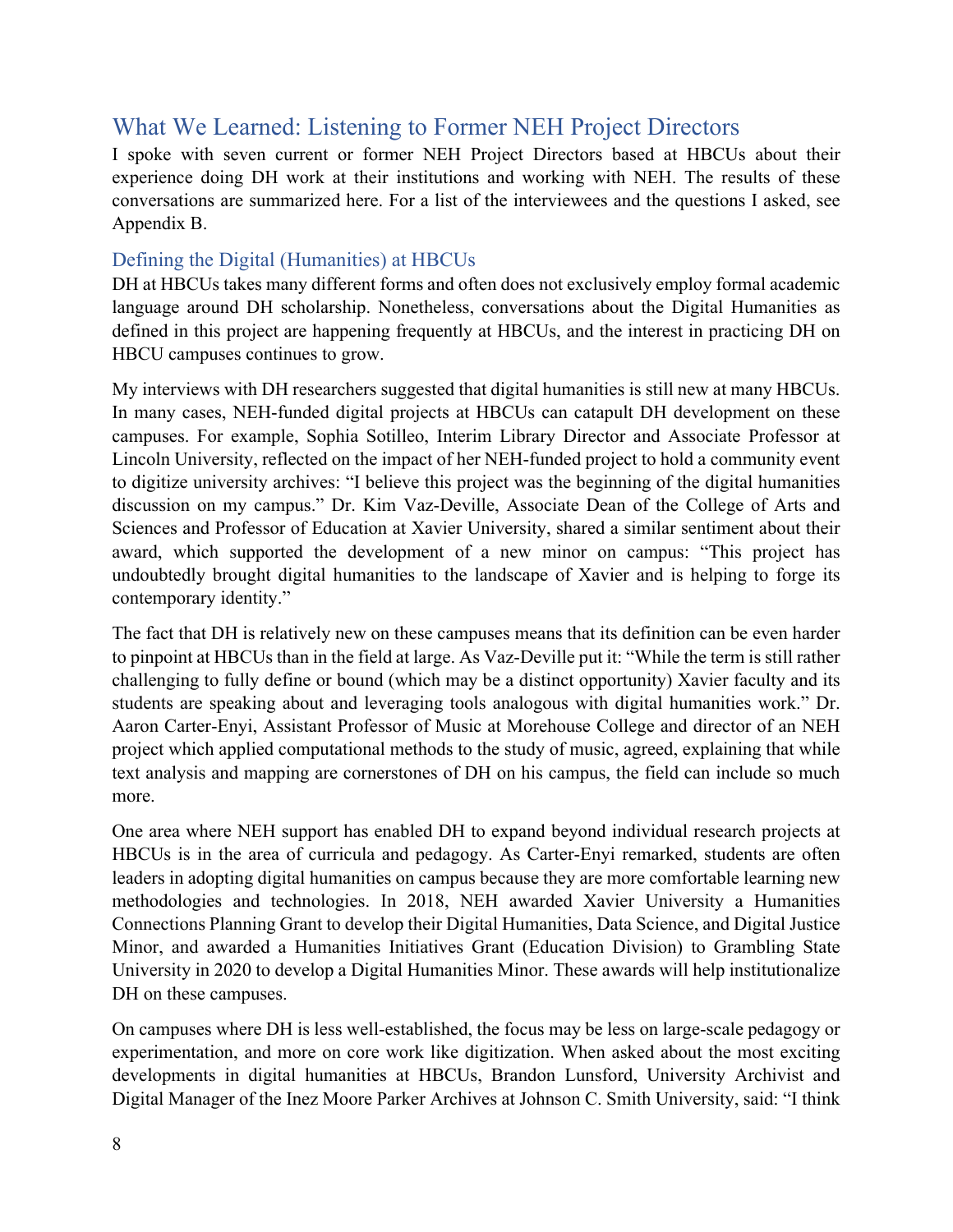## <span id="page-7-0"></span>What We Learned: Listening to Former NEH Project Directors

I spoke with seven current or former NEH Project Directors based at HBCUs about their experience doing DH work at their institutions and working with NEH. The results of these conversations are summarized here. For a list of the interviewees and the questions I asked, see Appendix B.

#### <span id="page-7-1"></span>Defining the Digital (Humanities) at HBCUs

DH at HBCUs takes many different forms and often does not exclusively employ formal academic language around DH scholarship. Nonetheless, conversations about the Digital Humanities as defined in this project are happening frequently at HBCUs, and the interest in practicing DH on HBCU campuses continues to grow.

My interviews with DH researchers suggested that digital humanities is still new at many HBCUs. In many cases, NEH-funded digital projects at HBCUs can catapult DH development on these campuses. For example, Sophia Sotilleo, Interim Library Director and Associate Professor at Lincoln University, reflected on the impact of her NEH-funded project to hold a community event to digitize university archives: "I believe this project was the beginning of the digital humanities discussion on my campus." Dr. Kim Vaz-Deville, Associate Dean of the College of Arts and Sciences and Professor of Education at Xavier University, shared a similar sentiment about their award, which supported the development of a new minor on campus: "This project has undoubtedly brought digital humanities to the landscape of Xavier and is helping to forge its contemporary identity."

The fact that DH is relatively new on these campuses means that its definition can be even harder to pinpoint at HBCUs than in the field at large. As Vaz-Deville put it: "While the term is still rather challenging to fully define or bound (which may be a distinct opportunity) Xavier faculty and its students are speaking about and leveraging tools analogous with digital humanities work." Dr. Aaron Carter-Enyi, Assistant Professor of Music at Morehouse College and director of an NEH project which applied computational methods to the study of music, agreed, explaining that while text analysis and mapping are cornerstones of DH on his campus, the field can include so much more.

One area where NEH support has enabled DH to expand beyond individual research projects at HBCUs is in the area of curricula and pedagogy. As Carter-Enyi remarked, students are often leaders in adopting digital humanities on campus because they are more comfortable learning new methodologies and technologies. In 2018, NEH awarded Xavier University a Humanities Connections Planning Grant to develop their Digital Humanities, Data Science, and Digital Justice Minor, and awarded a Humanities Initiatives Grant (Education Division) to Grambling State University in 2020 to develop a Digital Humanities Minor. These awards will help institutionalize DH on these campuses.

On campuses where DH is less well-established, the focus may be less on large-scale pedagogy or experimentation, and more on core work like digitization. When asked about the most exciting developments in digital humanities at HBCUs, Brandon Lunsford, University Archivist and Digital Manager of the Inez Moore Parker Archives at Johnson C. Smith University, said: "I think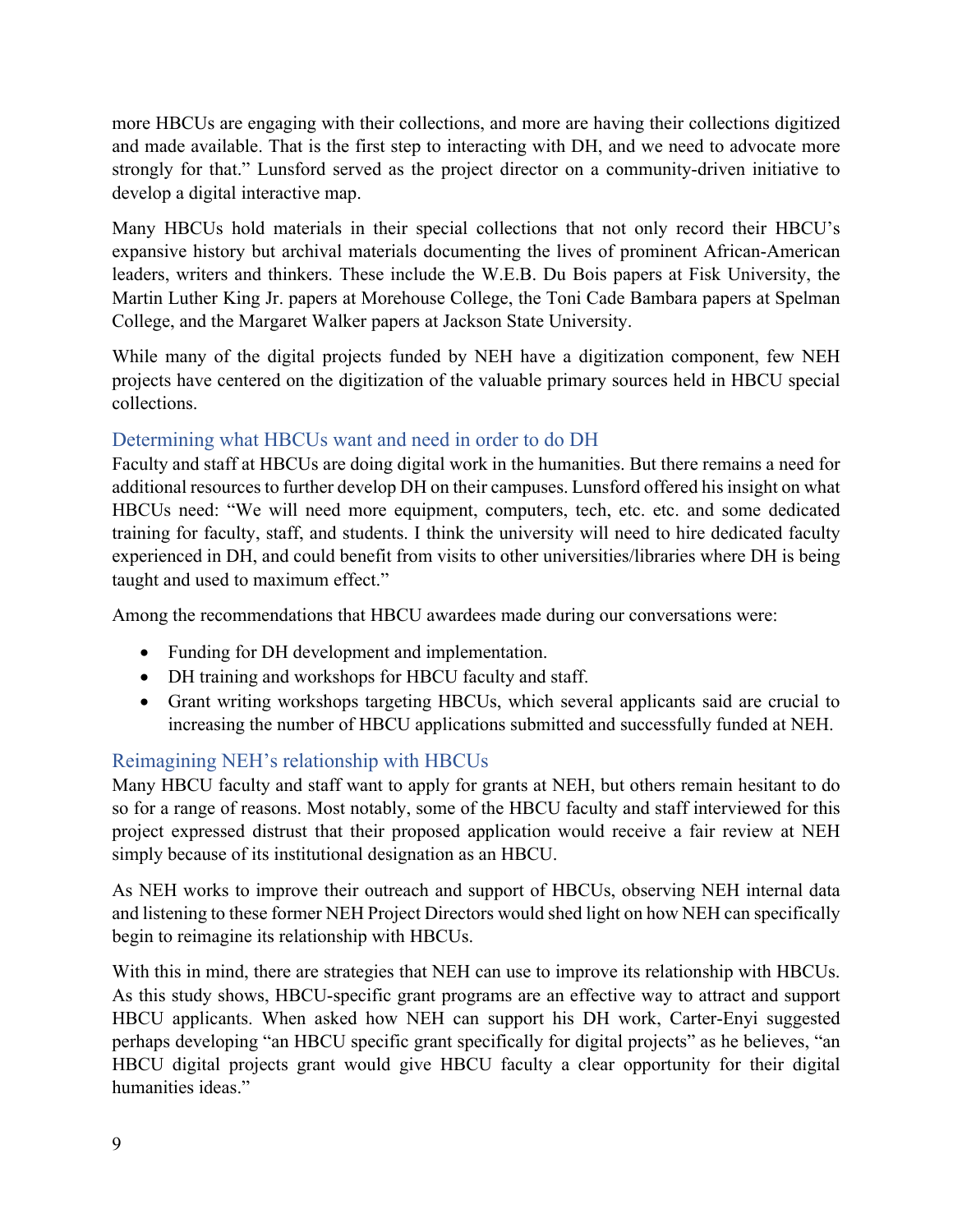more HBCUs are engaging with their collections, and more are having their collections digitized and made available. That is the first step to interacting with DH, and we need to advocate more strongly for that." Lunsford served as the project director on a community-driven initiative to develop a digital interactive map.

Many HBCUs hold materials in their special collections that not only record their HBCU's expansive history but archival materials documenting the lives of prominent African-American leaders, writers and thinkers. These include the W.E.B. Du Bois papers at Fisk University, the Martin Luther King Jr. papers at Morehouse College, the Toni Cade Bambara papers at Spelman College, and the Margaret Walker papers at Jackson State University.

While many of the digital projects funded by NEH have a digitization component, few NEH projects have centered on the digitization of the valuable primary sources held in HBCU special collections.

#### <span id="page-8-0"></span>Determining what HBCUs want and need in order to do DH

Faculty and staff at HBCUs are doing digital work in the humanities. But there remains a need for additional resources to further develop DH on their campuses. Lunsford offered his insight on what HBCUs need: "We will need more equipment, computers, tech, etc. etc. and some dedicated training for faculty, staff, and students. I think the university will need to hire dedicated faculty experienced in DH, and could benefit from visits to other universities/libraries where DH is being taught and used to maximum effect."

Among the recommendations that HBCU awardees made during our conversations were:

- Funding for DH development and implementation.
- DH training and workshops for HBCU faculty and staff.
- Grant writing workshops targeting HBCUs, which several applicants said are crucial to increasing the number of HBCU applications submitted and successfully funded at NEH.

#### <span id="page-8-1"></span>Reimagining NEH's relationship with HBCUs

Many HBCU faculty and staff want to apply for grants at NEH, but others remain hesitant to do so for a range of reasons. Most notably, some of the HBCU faculty and staff interviewed for this project expressed distrust that their proposed application would receive a fair review at NEH simply because of its institutional designation as an HBCU.

As NEH works to improve their outreach and support of HBCUs, observing NEH internal data and listening to these former NEH Project Directors would shed light on how NEH can specifically begin to reimagine its relationship with HBCUs.

With this in mind, there are strategies that NEH can use to improve its relationship with HBCUs. As this study shows, HBCU-specific grant programs are an effective way to attract and support HBCU applicants. When asked how NEH can support his DH work, Carter-Enyi suggested perhaps developing "an HBCU specific grant specifically for digital projects" as he believes, "an HBCU digital projects grant would give HBCU faculty a clear opportunity for their digital humanities ideas."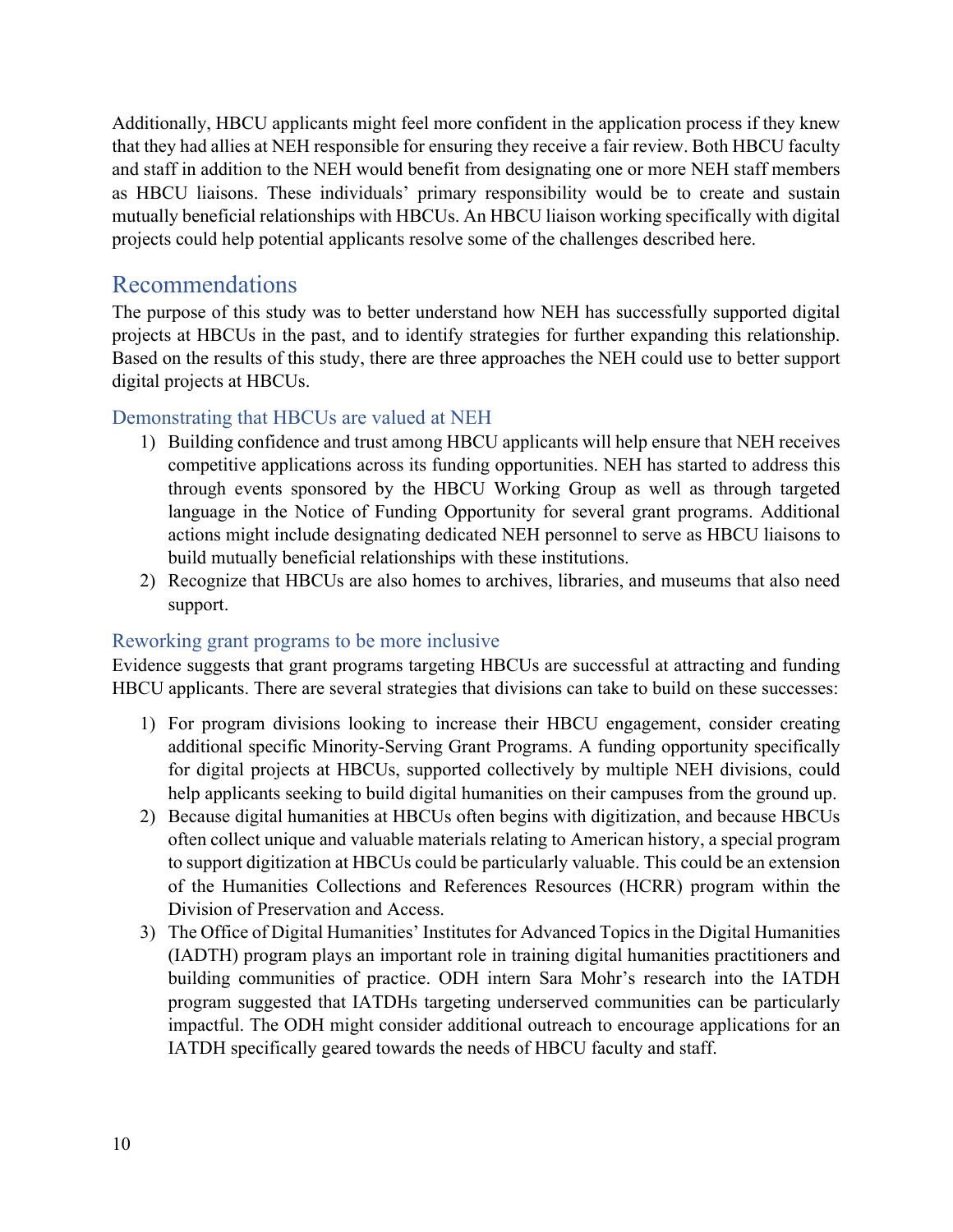Additionally, HBCU applicants might feel more confident in the application process if they knew that they had allies at NEH responsible for ensuring they receive a fair review. Both HBCU faculty and staff in addition to the NEH would benefit from designating one or more NEH staff members as HBCU liaisons. These individuals' primary responsibility would be to create and sustain mutually beneficial relationships with HBCUs. An HBCU liaison working specifically with digital projects could help potential applicants resolve some of the challenges described here.

### <span id="page-9-0"></span>Recommendations

The purpose of this study was to better understand how NEH has successfully supported digital projects at HBCUs in the past, and to identify strategies for further expanding this relationship. Based on the results of this study, there are three approaches the NEH could use to better support digital projects at HBCUs.

#### <span id="page-9-1"></span>Demonstrating that HBCUs are valued at NEH

- 1) Building confidence and trust among HBCU applicants will help ensure that NEH receives competitive applications across its funding opportunities. NEH has started to address this through events sponsored by the HBCU Working Group as well as through targeted language in the Notice of Funding Opportunity for several grant programs. Additional actions might include designating dedicated NEH personnel to serve as HBCU liaisons to build mutually beneficial relationships with these institutions.
- 2) Recognize that HBCUs are also homes to archives, libraries, and museums that also need support.

#### <span id="page-9-2"></span>Reworking grant programs to be more inclusive

Evidence suggests that grant programs targeting HBCUs are successful at attracting and funding HBCU applicants. There are several strategies that divisions can take to build on these successes:

- 1) For program divisions looking to increase their HBCU engagement, consider creating additional specific Minority-Serving Grant Programs. A funding opportunity specifically for digital projects at HBCUs, supported collectively by multiple NEH divisions, could help applicants seeking to build digital humanities on their campuses from the ground up.
- 2) Because digital humanities at HBCUs often begins with digitization, and because HBCUs often collect unique and valuable materials relating to American history, a special program to support digitization at HBCUs could be particularly valuable. This could be an extension of the Humanities Collections and References Resources (HCRR) program within the Division of Preservation and Access.
- 3) The Office of Digital Humanities' Institutes for Advanced Topics in the Digital Humanities (IADTH) program plays an important role in training digital humanities practitioners and building communities of practice. ODH intern Sara Mohr's research into the IATDH program suggested that IATDHs targeting underserved communities can be particularly impactful. The ODH might consider additional outreach to encourage applications for an IATDH specifically geared towards the needs of HBCU faculty and staff.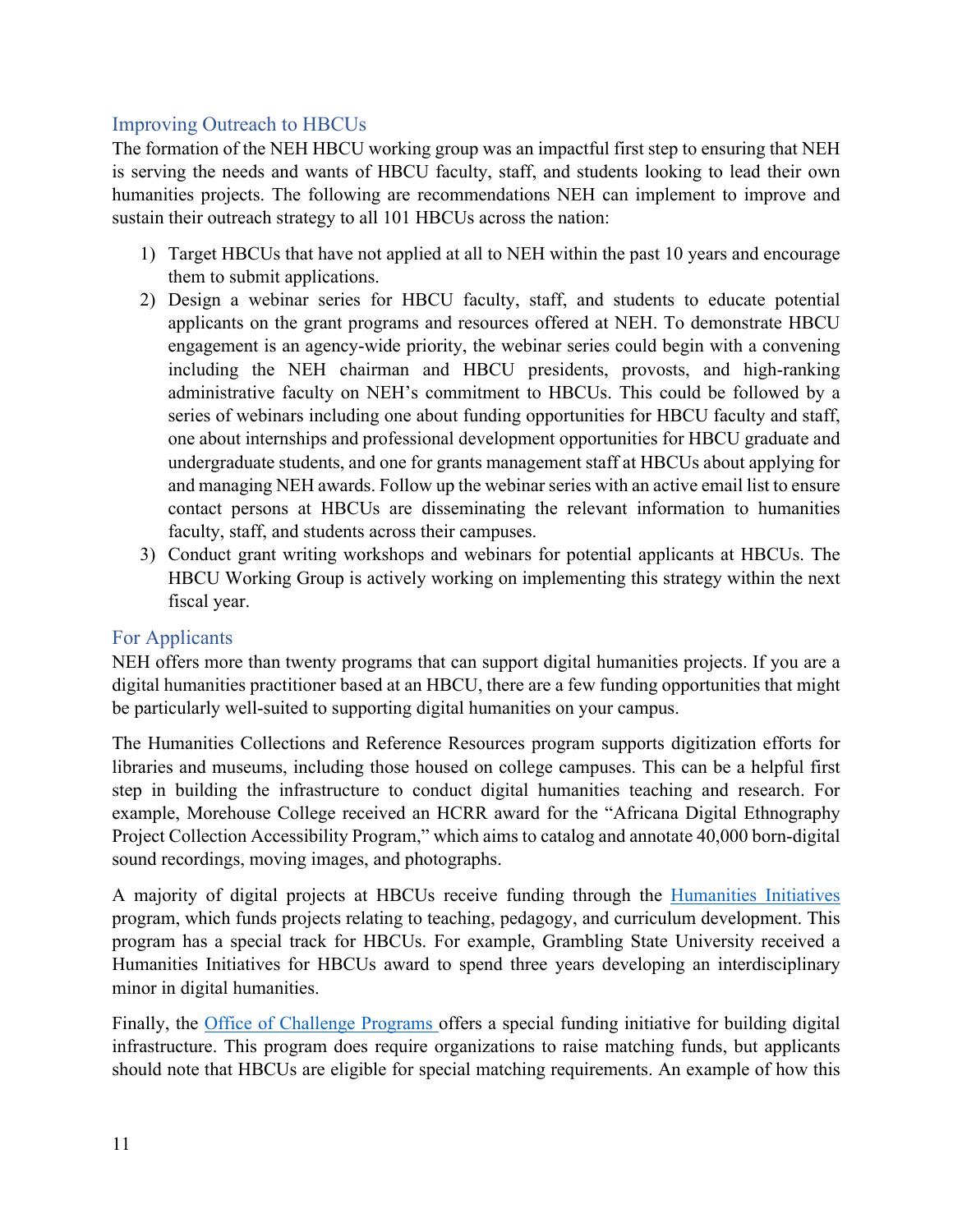#### <span id="page-10-0"></span>Improving Outreach to HBCUs

The formation of the NEH HBCU working group was an impactful first step to ensuring that NEH is serving the needs and wants of HBCU faculty, staff, and students looking to lead their own humanities projects. The following are recommendations NEH can implement to improve and sustain their outreach strategy to all 101 HBCUs across the nation:

- 1) Target HBCUs that have not applied at all to NEH within the past 10 years and encourage them to submit applications.
- 2) Design a webinar series for HBCU faculty, staff, and students to educate potential applicants on the grant programs and resources offered at NEH. To demonstrate HBCU engagement is an agency-wide priority, the webinar series could begin with a convening including the NEH chairman and HBCU presidents, provosts, and high-ranking administrative faculty on NEH's commitment to HBCUs. This could be followed by a series of webinars including one about funding opportunities for HBCU faculty and staff, one about internships and professional development opportunities for HBCU graduate and undergraduate students, and one for grants management staff at HBCUs about applying for and managing NEH awards. Follow up the webinar series with an active email list to ensure contact persons at HBCUs are disseminating the relevant information to humanities faculty, staff, and students across their campuses.
- 3) Conduct grant writing workshops and webinars for potential applicants at HBCUs. The HBCU Working Group is actively working on implementing this strategy within the next fiscal year.

#### <span id="page-10-1"></span>For Applicants

NEH offers more than twenty programs that can support digital humanities projects. If you are a digital humanities practitioner based at an HBCU, there are a few funding opportunities that might be particularly well-suited to supporting digital humanities on your campus.

The Humanities Collections and Reference Resources program supports digitization efforts for libraries and museums, including those housed on college campuses. This can be a helpful first step in building the infrastructure to conduct digital humanities teaching and research. For example, Morehouse College received an HCRR award for the "Africana Digital Ethnography Project Collection Accessibility Program," which aims to catalog and annotate 40,000 born-digital sound recordings, moving images, and photographs.

A majority of digital projects at HBCUs receive funding through the [Humanities Initiatives](https://www.neh.gov/grants/education/humanities-initiatives-historically-black-colleges-and-universities) program, which funds projects relating to teaching, pedagogy, and curriculum development. This program has a special track for HBCUs. For example, Grambling State University received a Humanities Initiatives for HBCUs award to spend three years developing an interdisciplinary minor in digital humanities.

Finally, the [Office of Challenge Programs o](https://www.neh.gov/grants/preservation/infrastructure-and-capacity-building-challenge-grants)ffers a special funding initiative for building digital infrastructure. This program does require organizations to raise matching funds, but applicants should note that HBCUs are eligible for special matching requirements. An example of how this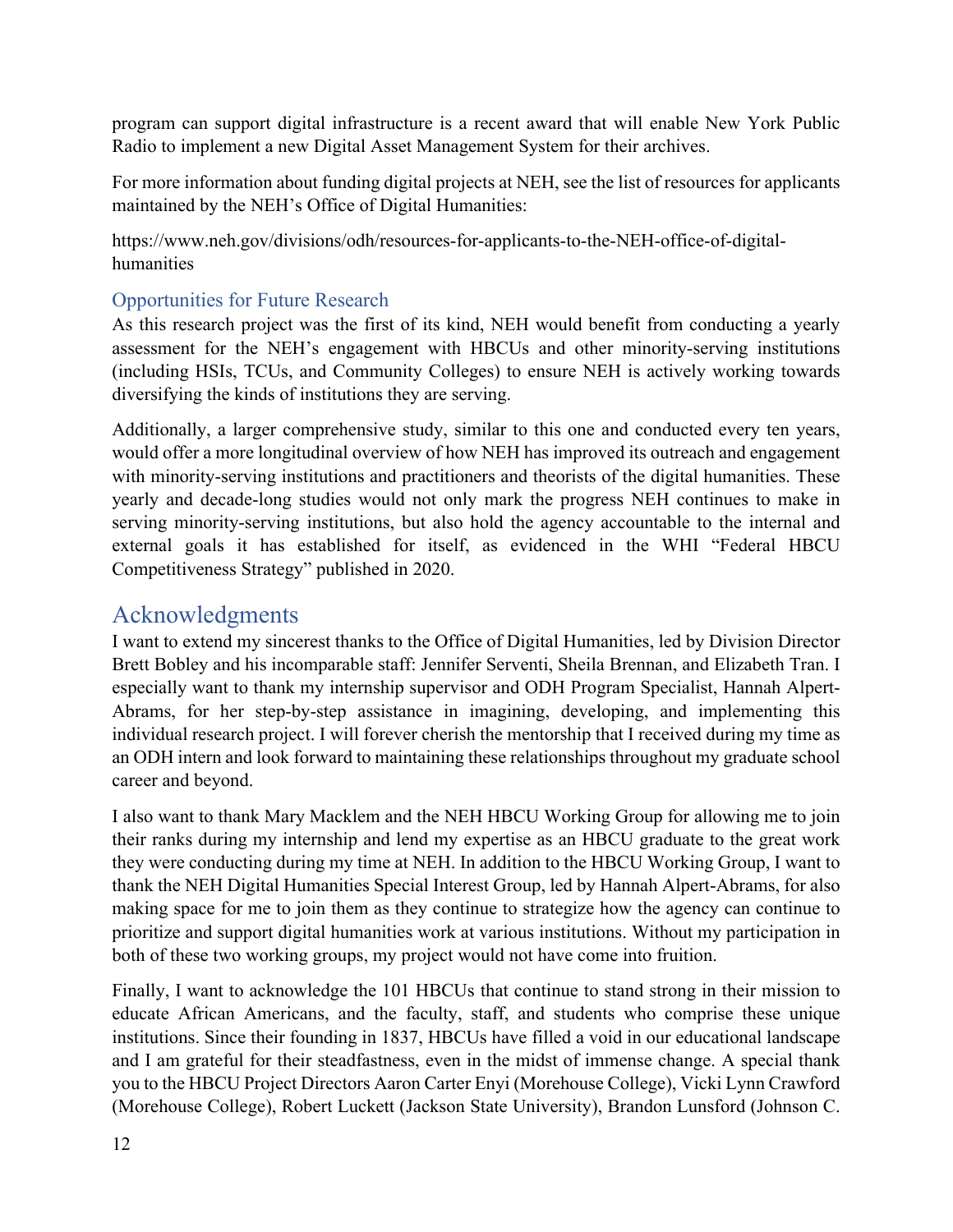program can support digital infrastructure is a recent award that will enable New York Public Radio to implement a new Digital Asset Management System for their archives.

For more information about funding digital projects at NEH, see the list of resources for applicants maintained by the NEH's Office of Digital Humanities:

https://www.neh.gov/divisions/odh/resources-for-applicants-to-the-NEH-office-of-digitalhumanities

#### <span id="page-11-0"></span>Opportunities for Future Research

As this research project was the first of its kind, NEH would benefit from conducting a yearly assessment for the NEH's engagement with HBCUs and other minority-serving institutions (including HSIs, TCUs, and Community Colleges) to ensure NEH is actively working towards diversifying the kinds of institutions they are serving.

Additionally, a larger comprehensive study, similar to this one and conducted every ten years, would offer a more longitudinal overview of how NEH has improved its outreach and engagement with minority-serving institutions and practitioners and theorists of the digital humanities. These yearly and decade-long studies would not only mark the progress NEH continues to make in serving minority-serving institutions, but also hold the agency accountable to the internal and external goals it has established for itself, as evidenced in the WHI "Federal HBCU Competitiveness Strategy" published in 2020.

## <span id="page-11-1"></span>Acknowledgments

I want to extend my sincerest thanks to the Office of Digital Humanities, led by Division Director Brett Bobley and his incomparable staff: Jennifer Serventi, Sheila Brennan, and Elizabeth Tran. I especially want to thank my internship supervisor and ODH Program Specialist, Hannah Alpert-Abrams, for her step-by-step assistance in imagining, developing, and implementing this individual research project. I will forever cherish the mentorship that I received during my time as an ODH intern and look forward to maintaining these relationships throughout my graduate school career and beyond.

I also want to thank Mary Macklem and the NEH HBCU Working Group for allowing me to join their ranks during my internship and lend my expertise as an HBCU graduate to the great work they were conducting during my time at NEH. In addition to the HBCU Working Group, I want to thank the NEH Digital Humanities Special Interest Group, led by Hannah Alpert-Abrams, for also making space for me to join them as they continue to strategize how the agency can continue to prioritize and support digital humanities work at various institutions. Without my participation in both of these two working groups, my project would not have come into fruition.

Finally, I want to acknowledge the 101 HBCUs that continue to stand strong in their mission to educate African Americans, and the faculty, staff, and students who comprise these unique institutions. Since their founding in 1837, HBCUs have filled a void in our educational landscape and I am grateful for their steadfastness, even in the midst of immense change. A special thank you to the HBCU Project Directors Aaron Carter Enyi (Morehouse College), Vicki Lynn Crawford (Morehouse College), Robert Luckett (Jackson State University), Brandon Lunsford (Johnson C.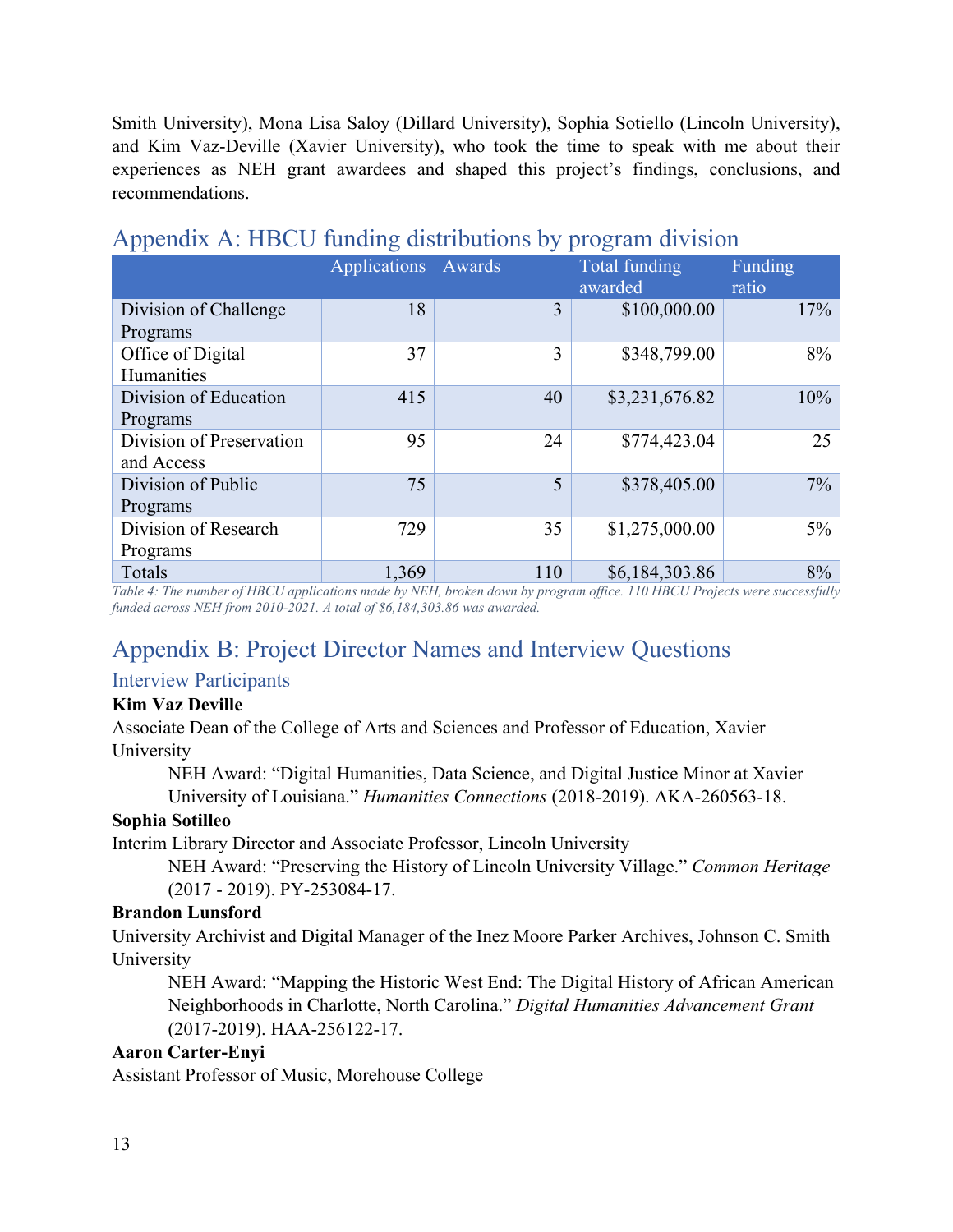Smith University), Mona Lisa Saloy (Dillard University), Sophia Sotiello (Lincoln University), and Kim Vaz-Deville (Xavier University), who took the time to speak with me about their experiences as NEH grant awardees and shaped this project's findings, conclusions, and recommendations.

|                          | Applications Awards |     | Total funding<br>awarded | Funding<br>ratio |
|--------------------------|---------------------|-----|--------------------------|------------------|
| Division of Challenge    | 18                  | 3   | \$100,000.00             | 17%              |
| Programs                 |                     |     |                          |                  |
| Office of Digital        | 37                  | 3   | \$348,799.00             | 8%               |
| Humanities               |                     |     |                          |                  |
| Division of Education    | 415                 | 40  | \$3,231,676.82           | 10%              |
| Programs                 |                     |     |                          |                  |
| Division of Preservation | 95                  | 24  | \$774,423.04             | 25               |
| and Access               |                     |     |                          |                  |
| Division of Public       | 75                  | 5   | \$378,405.00             | 7%               |
| Programs                 |                     |     |                          |                  |
| Division of Research     | 729                 | 35  | \$1,275,000.00           | $5\%$            |
| Programs                 |                     |     |                          |                  |
| Totals                   | 1,369               | 110 | \$6,184,303.86           | 8%               |

## <span id="page-12-0"></span>Appendix A: HBCU funding distributions by program division

*Table 4: The number of HBCU applications made by NEH, broken down by program office. 110 HBCU Projects were successfully funded across NEH from 2010-2021. A total of \$6,184,303.86 was awarded.* 

## <span id="page-12-1"></span>Appendix B: Project Director Names and Interview Questions

#### <span id="page-12-2"></span>Interview Participants

#### **Kim Vaz Deville**

Associate Dean of the College of Arts and Sciences and Professor of Education, Xavier University

NEH Award: "Digital Humanities, Data Science, and Digital Justice Minor at Xavier University of Louisiana." *Humanities Connections* (2018-2019). AKA-260563-18.

#### **Sophia Sotilleo**

Interim Library Director and Associate Professor, Lincoln University

NEH Award: "Preserving the History of Lincoln University Village." *Common Heritage* (2017 - 2019). PY-253084-17.

#### **Brandon Lunsford**

University Archivist and Digital Manager of the Inez Moore Parker Archives, Johnson C. Smith University

NEH Award: "Mapping the Historic West End: The Digital History of African American Neighborhoods in Charlotte, North Carolina." *Digital Humanities Advancement Grant*  (2017-2019). HAA-256122-17.

#### **Aaron Carter-Enyi**

Assistant Professor of Music, Morehouse College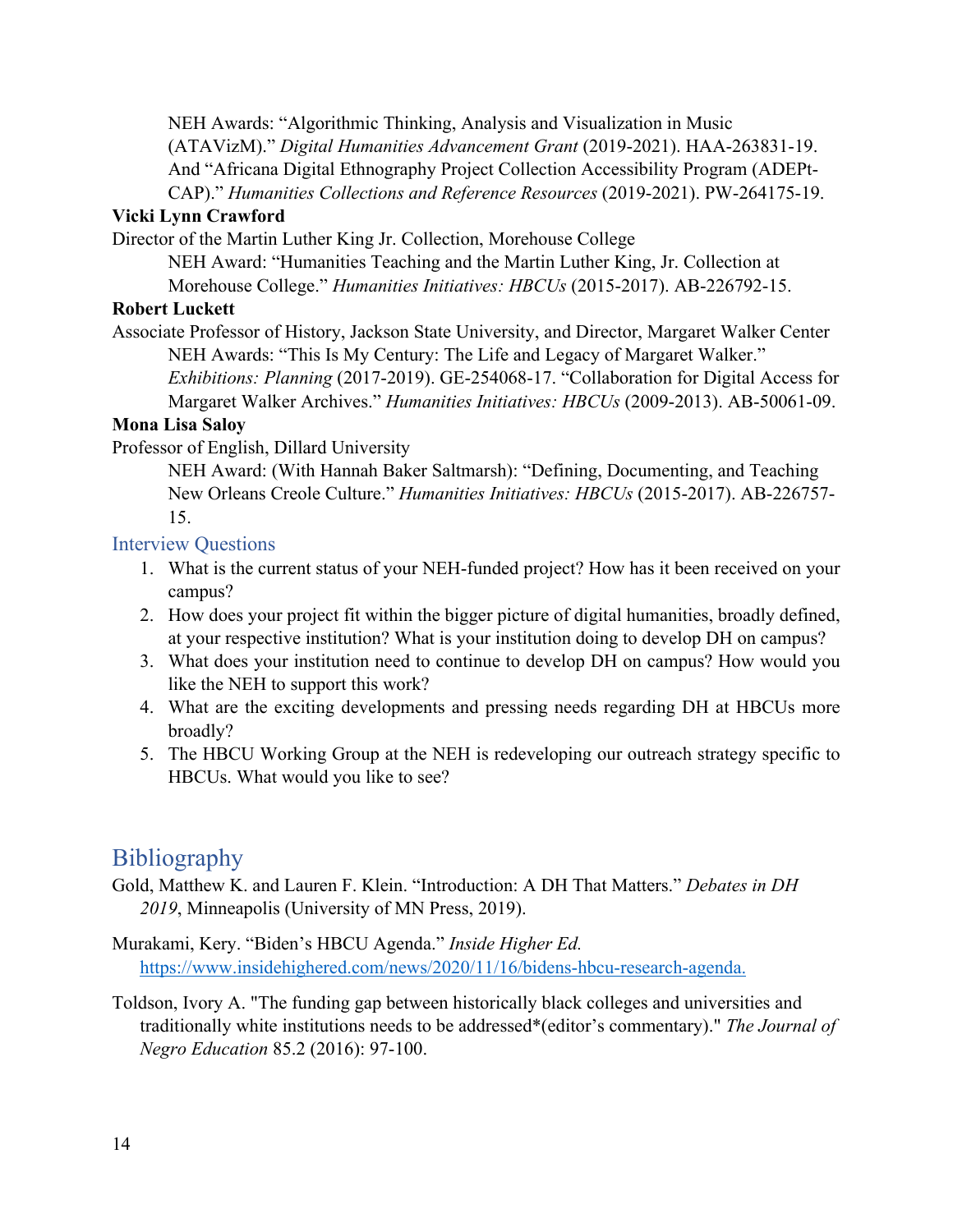NEH Awards: "Algorithmic Thinking, Analysis and Visualization in Music (ATAVizM)." *Digital Humanities Advancement Grant* (2019-2021). HAA-263831-19. And "Africana Digital Ethnography Project Collection Accessibility Program (ADEPt-CAP)." *Humanities Collections and Reference Resources* (2019-2021). PW-264175-19.

#### **Vicki Lynn Crawford**

Director of the Martin Luther King Jr. Collection, Morehouse College

NEH Award: "Humanities Teaching and the Martin Luther King, Jr. Collection at Morehouse College." *Humanities Initiatives: HBCUs* (2015-2017). AB-226792-15.

#### **Robert Luckett**

Associate Professor of History, Jackson State University, and Director, Margaret Walker Center NEH Awards: "This Is My Century: The Life and Legacy of Margaret Walker." *Exhibitions: Planning* (2017-2019). GE-254068-17. "Collaboration for Digital Access for Margaret Walker Archives." *Humanities Initiatives: HBCUs* (2009-2013). AB-50061-09.

#### **Mona Lisa Saloy**

Professor of English, Dillard University

NEH Award: (With Hannah Baker Saltmarsh): "Defining, Documenting, and Teaching New Orleans Creole Culture." *Humanities Initiatives: HBCUs* (2015-2017). AB-226757- 15.

#### <span id="page-13-0"></span>Interview Questions

- 1. What is the current status of your NEH-funded project? How has it been received on your campus?
- 2. How does your project fit within the bigger picture of digital humanities, broadly defined, at your respective institution? What is your institution doing to develop DH on campus?
- 3. What does your institution need to continue to develop DH on campus? How would you like the NEH to support this work?
- 4. What are the exciting developments and pressing needs regarding DH at HBCUs more broadly?
- 5. The HBCU Working Group at the NEH is redeveloping our outreach strategy specific to HBCUs. What would you like to see?

## <span id="page-13-1"></span>**Bibliography**

Gold, Matthew K. and Lauren F. Klein. "Introduction: A DH That Matters." *Debates in DH 2019*, Minneapolis (University of MN Press, 2019).

Murakami, Kery. "Biden's HBCU Agenda." *Inside Higher Ed.*  [https://www.insidehighered.com/news/2020/11/16/bidens-hbcu-research-agenda.](https://www.insidehighered.com/news/2020/11/16/bidens-hbcu-research-agenda)

Toldson, Ivory A. "The funding gap between historically black colleges and universities and traditionally white institutions needs to be addressed\*(editor's commentary)." *The Journal of Negro Education* 85.2 (2016): 97-100.